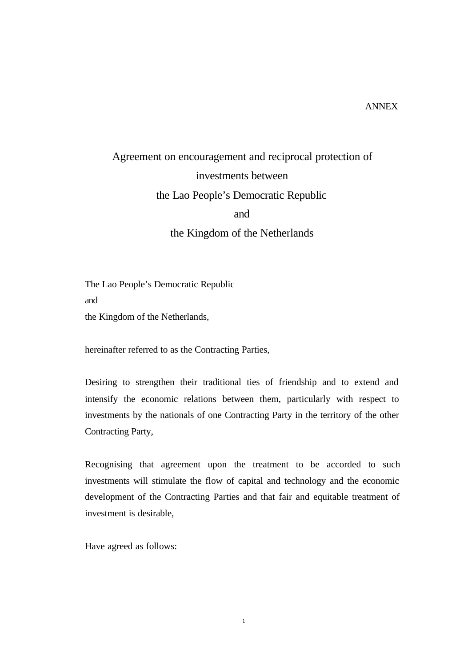## ANNEX

# Agreement on encouragement and reciprocal protection of investments between the Lao People's Democratic Republic and the Kingdom of the Netherlands

The Lao People's Democratic Republic and the Kingdom of the Netherlands,

hereinafter referred to as the Contracting Parties,

Desiring to strengthen their traditional ties of friendship and to extend and intensify the economic relations between them, particularly with respect to investments by the nationals of one Contracting Party in the territory of the other Contracting Party,

Recognising that agreement upon the treatment to be accorded to such investments will stimulate the flow of capital and technology and the economic development of the Contracting Parties and that fair and equitable treatment of investment is desirable,

Have agreed as follows: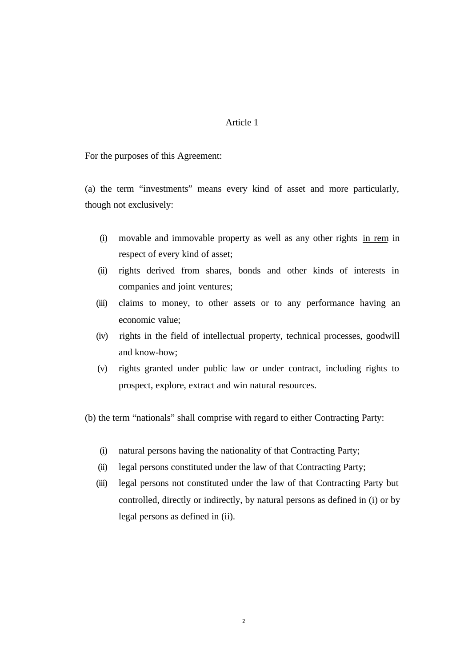For the purposes of this Agreement:

(a) the term "investments" means every kind of asset and more particularly, though not exclusively:

- (i) movable and immovable property as well as any other rights in rem in respect of every kind of asset;
- (ii) rights derived from shares, bonds and other kinds of interests in companies and joint ventures;
- (iii) claims to money, to other assets or to any performance having an economic value;
- (iv) rights in the field of intellectual property, technical processes, goodwill and know-how;
- (v) rights granted under public law or under contract, including rights to prospect, explore, extract and win natural resources.

(b) the term "nationals" shall comprise with regard to either Contracting Party:

- (i) natural persons having the nationality of that Contracting Party;
- (ii) legal persons constituted under the law of that Contracting Party;
- (iii) legal persons not constituted under the law of that Contracting Party but controlled, directly or indirectly, by natural persons as defined in (i) or by legal persons as defined in (ii).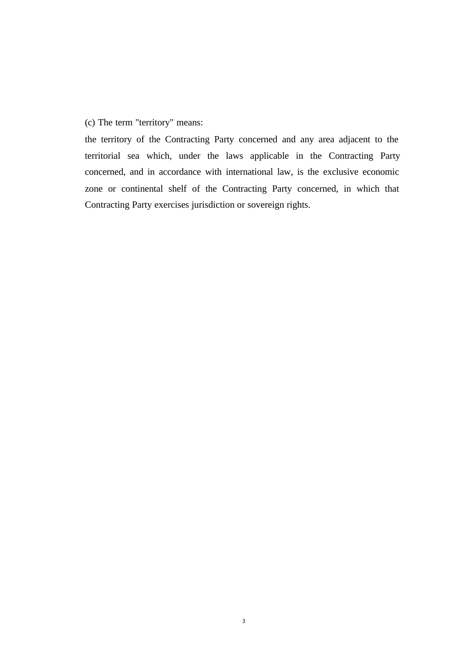(c) The term "territory" means:

the territory of the Contracting Party concerned and any area adjacent to the territorial sea which, under the laws applicable in the Contracting Party concerned, and in accordance with international law, is the exclusive economic zone or continental shelf of the Contracting Party concerned, in which that Contracting Party exercises jurisdiction or sovereign rights.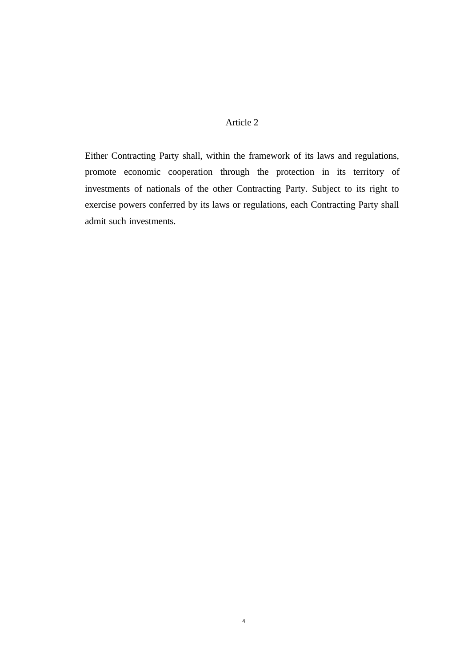Either Contracting Party shall, within the framework of its laws and regulations, promote economic cooperation through the protection in its territory of investments of nationals of the other Contracting Party. Subject to its right to exercise powers conferred by its laws or regulations, each Contracting Party shall admit such investments.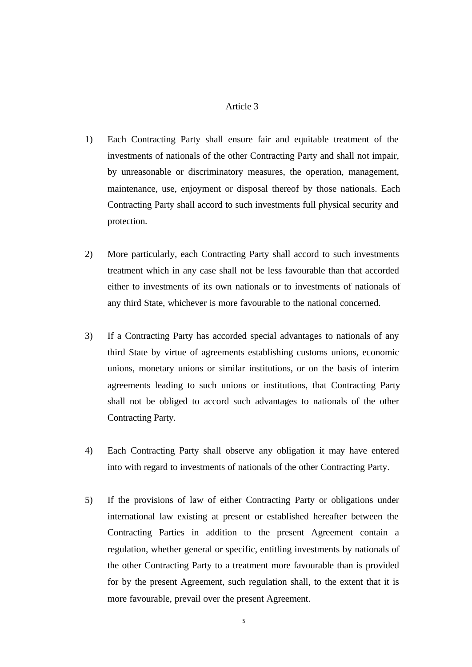- 1) Each Contracting Party shall ensure fair and equitable treatment of the investments of nationals of the other Contracting Party and shall not impair, by unreasonable or discriminatory measures, the operation, management, maintenance, use, enjoyment or disposal thereof by those nationals. Each Contracting Party shall accord to such investments full physical security and protection.
- 2) More particularly, each Contracting Party shall accord to such investments treatment which in any case shall not be less favourable than that accorded either to investments of its own nationals or to investments of nationals of any third State, whichever is more favourable to the national concerned.
- 3) If a Contracting Party has accorded special advantages to nationals of any third State by virtue of agreements establishing customs unions, economic unions, monetary unions or similar institutions, or on the basis of interim agreements leading to such unions or institutions, that Contracting Party shall not be obliged to accord such advantages to nationals of the other Contracting Party.
- 4) Each Contracting Party shall observe any obligation it may have entered into with regard to investments of nationals of the other Contracting Party.
- 5) If the provisions of law of either Contracting Party or obligations under international law existing at present or established hereafter between the Contracting Parties in addition to the present Agreement contain a regulation, whether general or specific, entitling investments by nationals of the other Contracting Party to a treatment more favourable than is provided for by the present Agreement, such regulation shall, to the extent that it is more favourable, prevail over the present Agreement.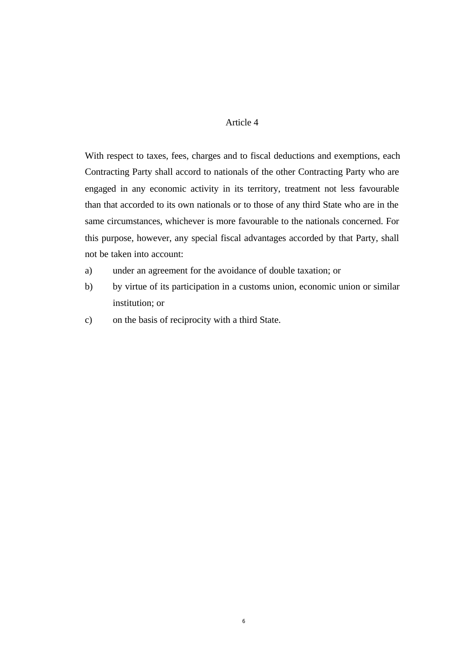With respect to taxes, fees, charges and to fiscal deductions and exemptions, each Contracting Party shall accord to nationals of the other Contracting Party who are engaged in any economic activity in its territory, treatment not less favourable than that accorded to its own nationals or to those of any third State who are in the same circumstances, whichever is more favourable to the nationals concerned. For this purpose, however, any special fiscal advantages accorded by that Party, shall not be taken into account:

- a) under an agreement for the avoidance of double taxation; or
- b) by virtue of its participation in a customs union, economic union or similar institution; or
- c) on the basis of reciprocity with a third State.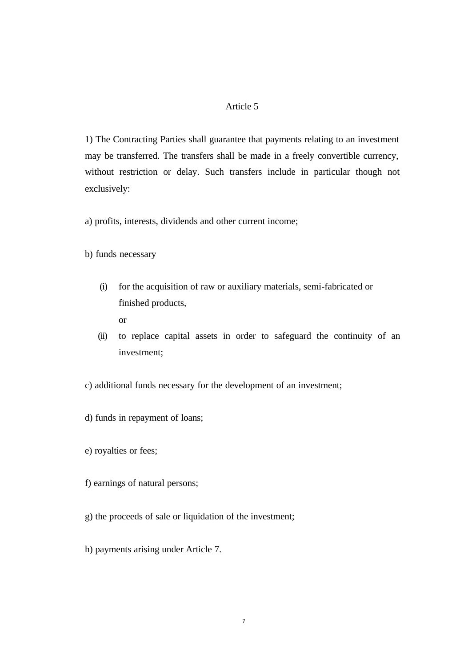1) The Contracting Parties shall guarantee that payments relating to an investment may be transferred. The transfers shall be made in a freely convertible currency, without restriction or delay. Such transfers include in particular though not exclusively:

a) profits, interests, dividends and other current income;

b) funds necessary

- (i) for the acquisition of raw or auxiliary materials, semi-fabricated or finished products,
	- or
- (ii) to replace capital assets in order to safeguard the continuity of an investment;
- c) additional funds necessary for the development of an investment;
- d) funds in repayment of loans;
- e) royalties or fees;
- f) earnings of natural persons;
- g) the proceeds of sale or liquidation of the investment;
- h) payments arising under Article 7.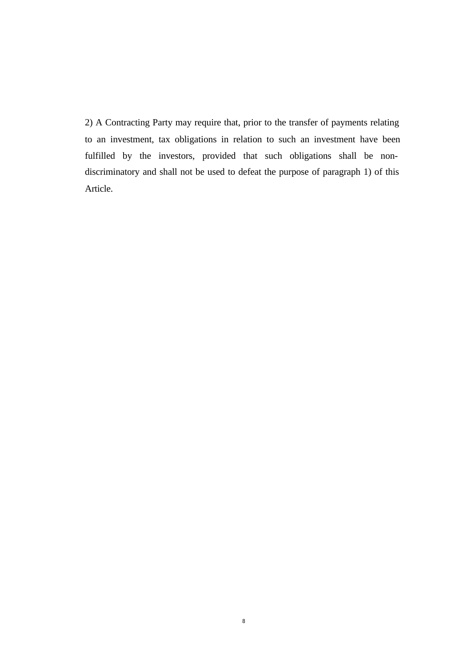2) A Contracting Party may require that, prior to the transfer of payments relating to an investment, tax obligations in relation to such an investment have been fulfilled by the investors, provided that such obligations shall be nondiscriminatory and shall not be used to defeat the purpose of paragraph 1) of this Article.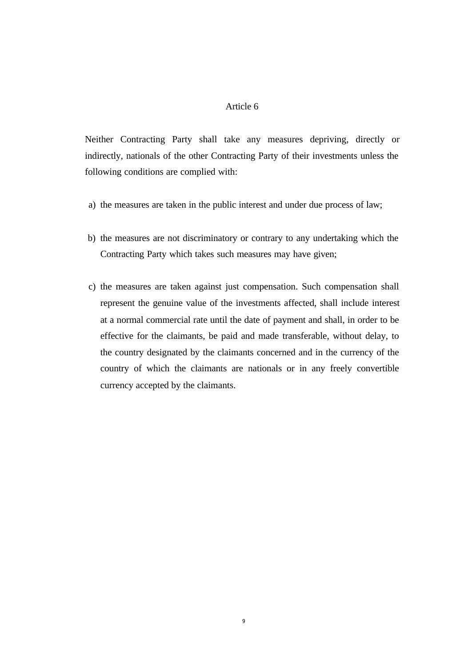Neither Contracting Party shall take any measures depriving, directly or indirectly, nationals of the other Contracting Party of their investments unless the following conditions are complied with:

- a) the measures are taken in the public interest and under due process of law;
- b) the measures are not discriminatory or contrary to any undertaking which the Contracting Party which takes such measures may have given;
- c) the measures are taken against just compensation. Such compensation shall represent the genuine value of the investments affected, shall include interest at a normal commercial rate until the date of payment and shall, in order to be effective for the claimants, be paid and made transferable, without delay, to the country designated by the claimants concerned and in the currency of the country of which the claimants are nationals or in any freely convertible currency accepted by the claimants.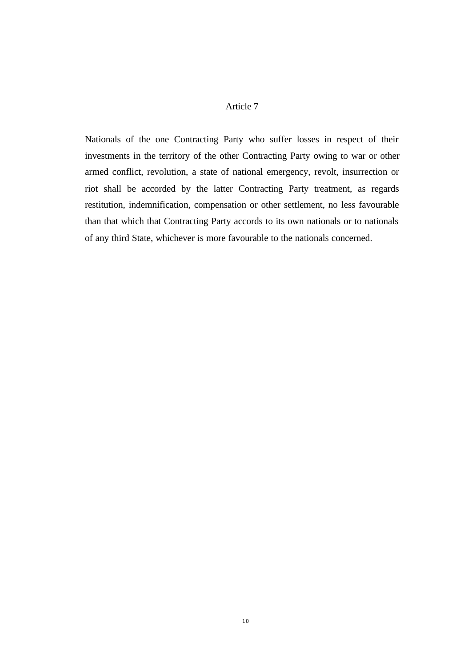Nationals of the one Contracting Party who suffer losses in respect of their investments in the territory of the other Contracting Party owing to war or other armed conflict, revolution, a state of national emergency, revolt, insurrection or riot shall be accorded by the latter Contracting Party treatment, as regards restitution, indemnification, compensation or other settlement, no less favourable than that which that Contracting Party accords to its own nationals or to nationals of any third State, whichever is more favourable to the nationals concerned.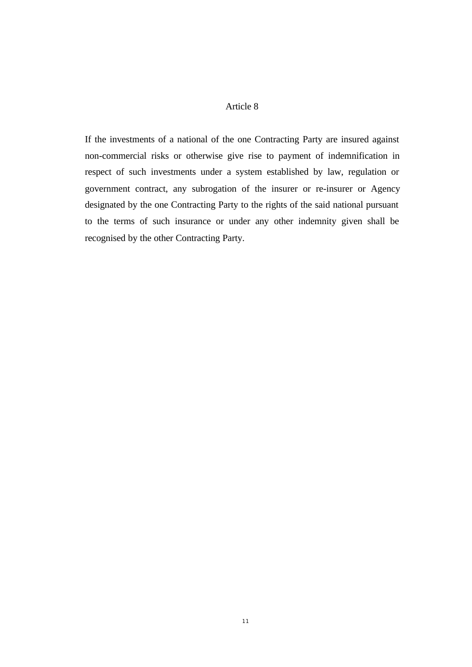If the investments of a national of the one Contracting Party are insured against non-commercial risks or otherwise give rise to payment of indemnification in respect of such investments under a system established by law, regulation or government contract, any subrogation of the insurer or re-insurer or Agency designated by the one Contracting Party to the rights of the said national pursuant to the terms of such insurance or under any other indemnity given shall be recognised by the other Contracting Party.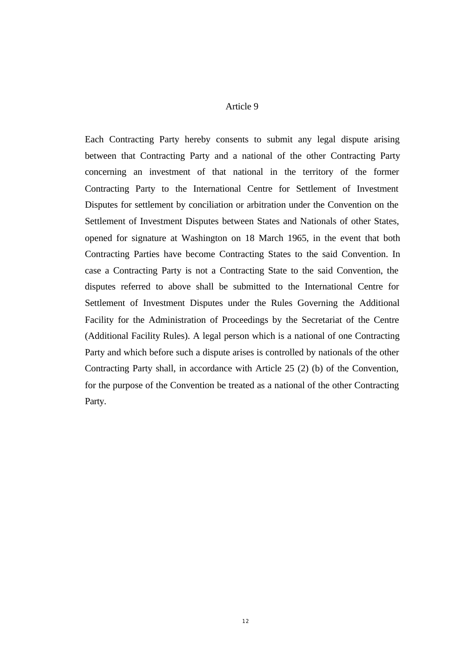Each Contracting Party hereby consents to submit any legal dispute arising between that Contracting Party and a national of the other Contracting Party concerning an investment of that national in the territory of the former Contracting Party to the International Centre for Settlement of Investment Disputes for settlement by conciliation or arbitration under the Convention on the Settlement of Investment Disputes between States and Nationals of other States, opened for signature at Washington on 18 March 1965, in the event that both Contracting Parties have become Contracting States to the said Convention. In case a Contracting Party is not a Contracting State to the said Convention, the disputes referred to above shall be submitted to the International Centre for Settlement of Investment Disputes under the Rules Governing the Additional Facility for the Administration of Proceedings by the Secretariat of the Centre (Additional Facility Rules). A legal person which is a national of one Contracting Party and which before such a dispute arises is controlled by nationals of the other Contracting Party shall, in accordance with Article 25 (2) (b) of the Convention, for the purpose of the Convention be treated as a national of the other Contracting Party.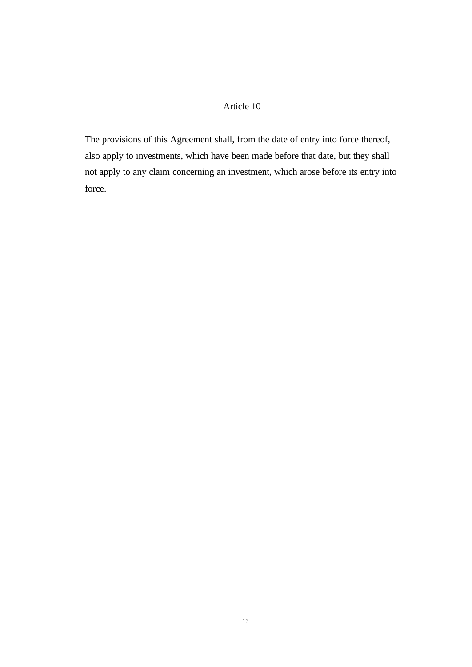The provisions of this Agreement shall, from the date of entry into force thereof, also apply to investments, which have been made before that date, but they shall not apply to any claim concerning an investment, which arose before its entry into force.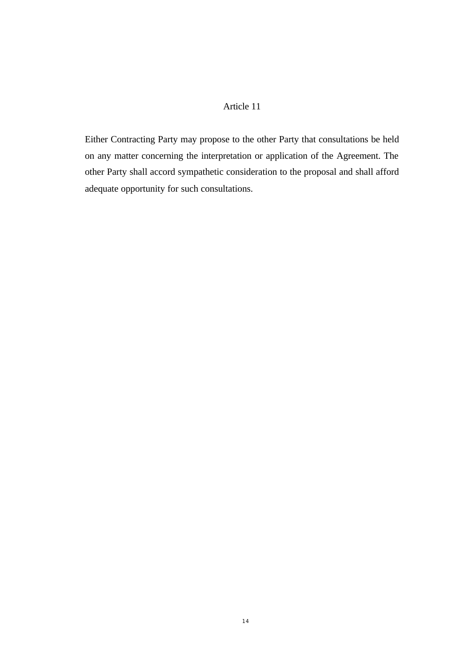Either Contracting Party may propose to the other Party that consultations be held on any matter concerning the interpretation or application of the Agreement. The other Party shall accord sympathetic consideration to the proposal and shall afford adequate opportunity for such consultations.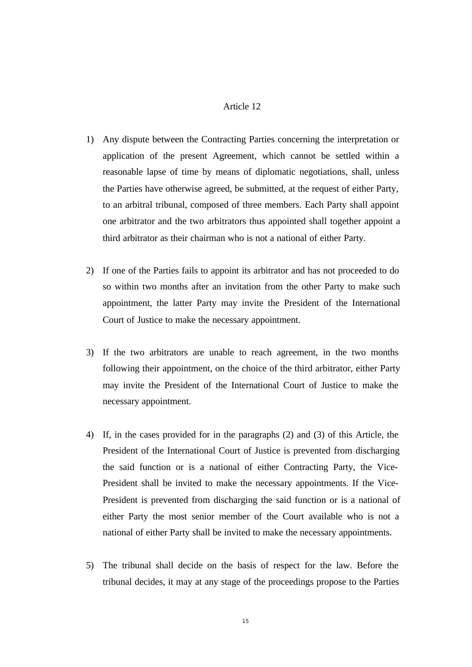- 1) Any dispute between the Contracting Parties concerning the interpretation or application of the present Agreement, which cannot be settled within a reasonable lapse of time by means of diplomatic negotiations, shall, unless the Parties have otherwise agreed, be submitted, at the request of either Party, to an arbitral tribunal, composed of three members. Each Party shall appoint one arbitrator and the two arbitrators thus appointed shall together appoint a third arbitrator as their chairman who is not a national of either Party.
- 2) If one of the Parties fails to appoint its arbitrator and has not proceeded to do so within two months after an invitation from the other Party to make such appointment, the latter Party may invite the President of the International Court of Justice to make the necessary appointment.
- 3) If the two arbitrators are unable to reach agreement, in the two months following their appointment, on the choice of the third arbitrator, either Party may invite the President of the International Court of Justice to make the necessary appointment.
- 4) If, in the cases provided for in the paragraphs (2) and (3) of this Article, the President of the International Court of Justice is prevented from discharging the said function or is a national of either Contracting Party, the Vice-President shall be invited to make the necessary appointments. If the Vice-President is prevented from discharging the said function or is a national of either Party the most senior member of the Court available who is not a national of either Party shall be invited to make the necessary appointments.
- 5) The tribunal shall decide on the basis of respect for the law. Before the tribunal decides, it may at any stage of the proceedings propose to the Parties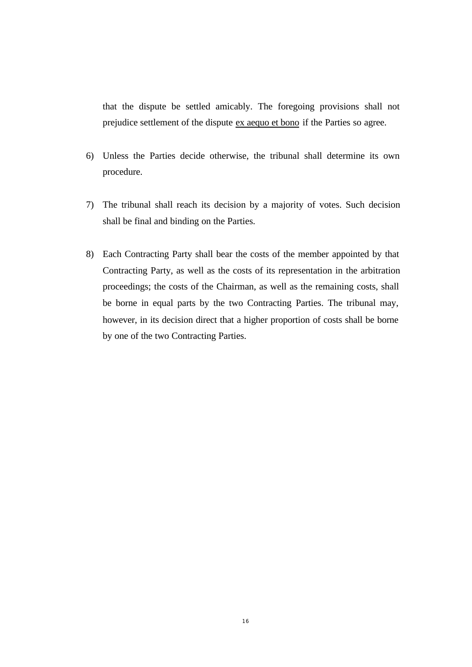that the dispute be settled amicably. The foregoing provisions shall not prejudice settlement of the dispute ex aequo et bono if the Parties so agree.

- 6) Unless the Parties decide otherwise, the tribunal shall determine its own procedure.
- 7) The tribunal shall reach its decision by a majority of votes. Such decision shall be final and binding on the Parties.
- 8) Each Contracting Party shall bear the costs of the member appointed by that Contracting Party, as well as the costs of its representation in the arbitration proceedings; the costs of the Chairman, as well as the remaining costs, shall be borne in equal parts by the two Contracting Parties. The tribunal may, however, in its decision direct that a higher proportion of costs shall be borne by one of the two Contracting Parties.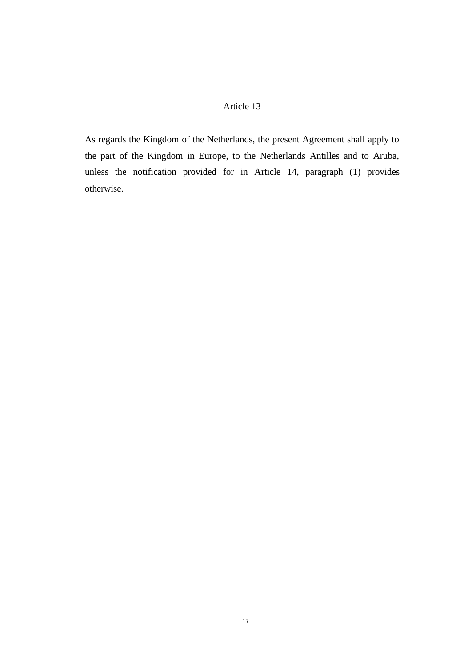As regards the Kingdom of the Netherlands, the present Agreement shall apply to the part of the Kingdom in Europe, to the Netherlands Antilles and to Aruba, unless the notification provided for in Article 14, paragraph (1) provides otherwise.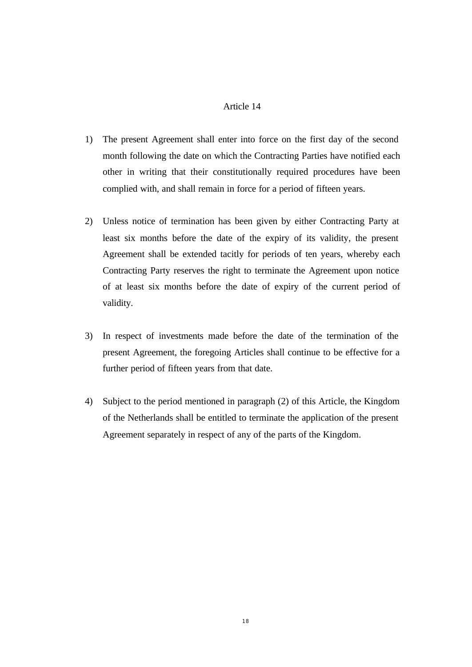- 1) The present Agreement shall enter into force on the first day of the second month following the date on which the Contracting Parties have notified each other in writing that their constitutionally required procedures have been complied with, and shall remain in force for a period of fifteen years.
- 2) Unless notice of termination has been given by either Contracting Party at least six months before the date of the expiry of its validity, the present Agreement shall be extended tacitly for periods of ten years, whereby each Contracting Party reserves the right to terminate the Agreement upon notice of at least six months before the date of expiry of the current period of validity.
- 3) In respect of investments made before the date of the termination of the present Agreement, the foregoing Articles shall continue to be effective for a further period of fifteen years from that date.
- 4) Subject to the period mentioned in paragraph (2) of this Article, the Kingdom of the Netherlands shall be entitled to terminate the application of the present Agreement separately in respect of any of the parts of the Kingdom.